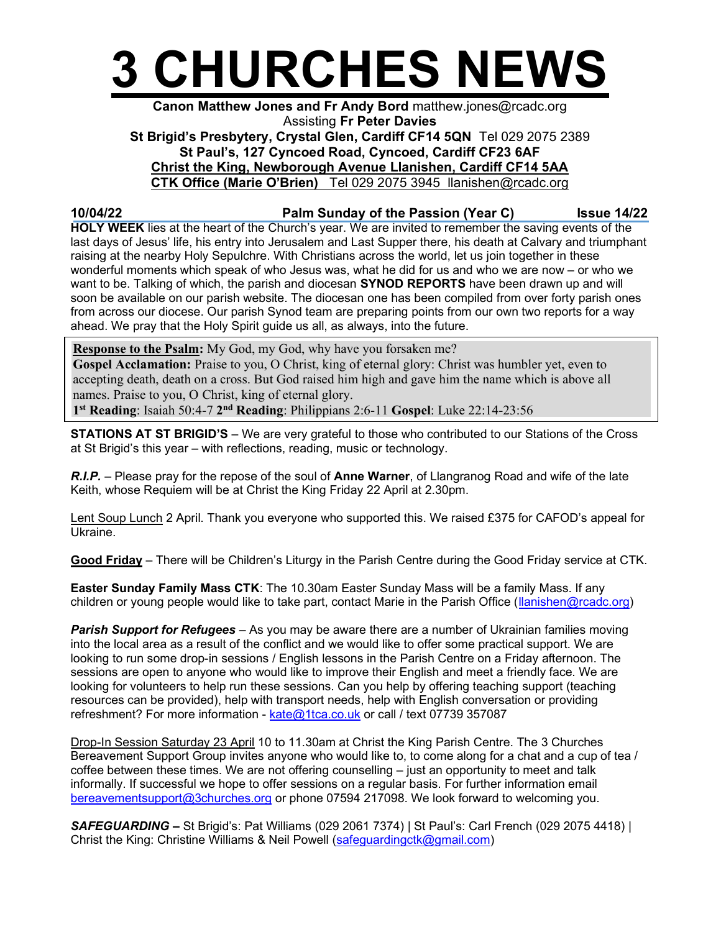

## Canon Matthew Jones and Fr Andy Bord matthew.jones@rcadc.org Assisting Fr Peter Davies St Brigid's Presbytery, Crystal Glen, Cardiff CF14 5QN Tel 029 2075 2389 St Paul's, 127 Cyncoed Road, Cyncoed, Cardiff CF23 6AF Christ the King, Newborough Avenue Llanishen, Cardiff CF14 5AA CTK Office (Marie O'Brien) Tel 029 2075 3945 llanishen@rcadc.org

## 10/04/22 **Palm Sunday of the Passion (Year C)** Issue 14/22

HOLY WEEK lies at the heart of the Church's year. We are invited to remember the saving events of the last days of Jesus' life, his entry into Jerusalem and Last Supper there, his death at Calvary and triumphant raising at the nearby Holy Sepulchre. With Christians across the world, let us join together in these wonderful moments which speak of who Jesus was, what he did for us and who we are now – or who we want to be. Talking of which, the parish and diocesan **SYNOD REPORTS** have been drawn up and will soon be available on our parish website. The diocesan one has been compiled from over forty parish ones from across our diocese. Our parish Synod team are preparing points from our own two reports for a way ahead. We pray that the Holy Spirit guide us all, as always, into the future.

Response to the Psalm: My God, my God, why have you forsaken me?

Gospel Acclamation: Praise to you, O Christ, king of eternal glory: Christ was humbler yet, even to accepting death, death on a cross. But God raised him high and gave him the name which is above all names. Praise to you, O Christ, king of eternal glory.

1<sup>st</sup> Reading: Isaiah 50:4-7 2<sup>nd</sup> Reading: Philippians 2:6-11 Gospel: Luke 22:14-23:56

STATIONS AT ST BRIGID'S – We are very grateful to those who contributed to our Stations of the Cross at St Brigid's this year – with reflections, reading, music or technology.

R.I.P. – Please pray for the repose of the soul of Anne Warner, of Llangranog Road and wife of the late Keith, whose Requiem will be at Christ the King Friday 22 April at 2.30pm.

Lent Soup Lunch 2 April. Thank you everyone who supported this. We raised £375 for CAFOD's appeal for Ukraine.

Good Friday – There will be Children's Liturgy in the Parish Centre during the Good Friday service at CTK.

Easter Sunday Family Mass CTK: The 10.30am Easter Sunday Mass will be a family Mass. If any children or young people would like to take part, contact Marie in the Parish Office (llanishen@rcadc.org)

**Parish Support for Refugees** – As you may be aware there are a number of Ukrainian families moving into the local area as a result of the conflict and we would like to offer some practical support. We are looking to run some drop-in sessions / English lessons in the Parish Centre on a Friday afternoon. The sessions are open to anyone who would like to improve their English and meet a friendly face. We are looking for volunteers to help run these sessions. Can you help by offering teaching support (teaching resources can be provided), help with transport needs, help with English conversation or providing refreshment? For more information - kate@1tca.co.uk or call / text 07739 357087

Drop-In Session Saturday 23 April 10 to 11.30am at Christ the King Parish Centre. The 3 Churches Bereavement Support Group invites anyone who would like to, to come along for a chat and a cup of tea / coffee between these times. We are not offering counselling – just an opportunity to meet and talk informally. If successful we hope to offer sessions on a regular basis. For further information email bereavementsupport@3churches.org or phone 07594 217098. We look forward to welcoming you.

SAFEGUARDING – St Brigid's: Pat Williams (029 2061 7374) | St Paul's: Carl French (029 2075 4418) | Christ the King: Christine Williams & Neil Powell (safeguardingctk@gmail.com)